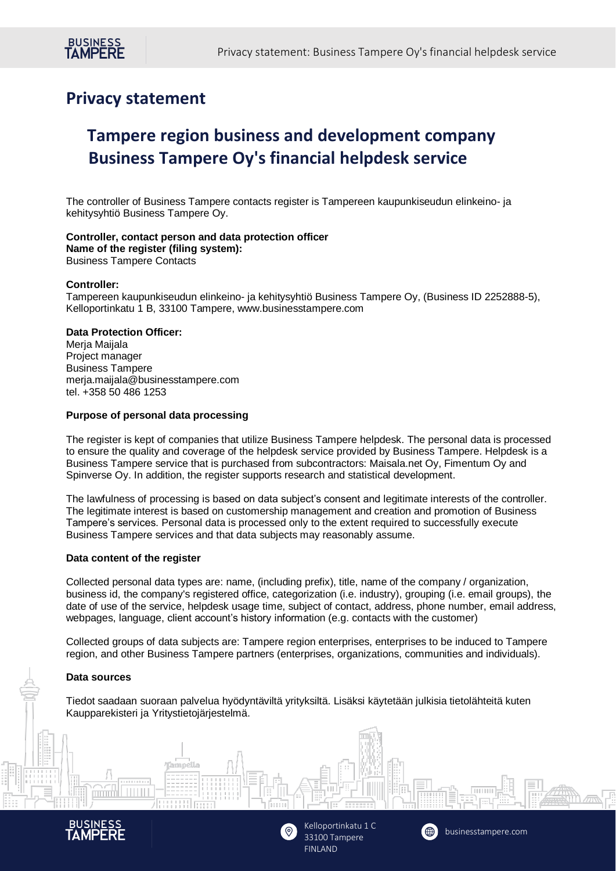## **Privacy statement**

# **Tampere region business and development company Business Tampere Oy's financial helpdesk service**

The controller of Business Tampere contacts register is Tampereen kaupunkiseudun elinkeino- ja kehitysyhtiö Business Tampere Oy.

#### **Controller, contact person and data protection officer Name of the register (filing system):** Business Tampere Contacts

## **Controller:**

Tampereen kaupunkiseudun elinkeino- ja kehitysyhtiö Business Tampere Oy, (Business ID 2252888-5), Kelloportinkatu 1 B, 33100 Tampere, www.businesstampere.com

## **Data Protection Officer:**

Merja Maijala Project manager Business Tampere merja.maijala@businesstampere.com tel. +358 50 486 1253

## **Purpose of personal data processing**

The register is kept of companies that utilize Business Tampere helpdesk. The personal data is processed to ensure the quality and coverage of the helpdesk service provided by Business Tampere. Helpdesk is a Business Tampere service that is purchased from subcontractors: Maisala.net Oy, Fimentum Oy and Spinverse Oy. In addition, the register supports research and statistical development.

The lawfulness of processing is based on data subject's consent and legitimate interests of the controller. The legitimate interest is based on customership management and creation and promotion of Business Tampere's services. Personal data is processed only to the extent required to successfully execute Business Tampere services and that data subjects may reasonably assume.

## **Data content of the register**

Collected personal data types are: name, (including prefix), title, name of the company / organization, business id, the company's registered office, categorization (i.e. industry), grouping (i.e. email groups), the date of use of the service, helpdesk usage time, subject of contact, address, phone number, email address, webpages, language, client account's history information (e.g. contacts with the customer)

Collected groups of data subjects are: Tampere region enterprises, enterprises to be induced to Tampere region, and other Business Tampere partners (enterprises, organizations, communities and individuals).

## **Data sources**

Tiedot saadaan suoraan palvelua hyödyntäviltä yrityksiltä. Lisäksi käytetään julkisia tietolähteitä kuten Kaupparekisteri ja Yritystietojärjestelmä.